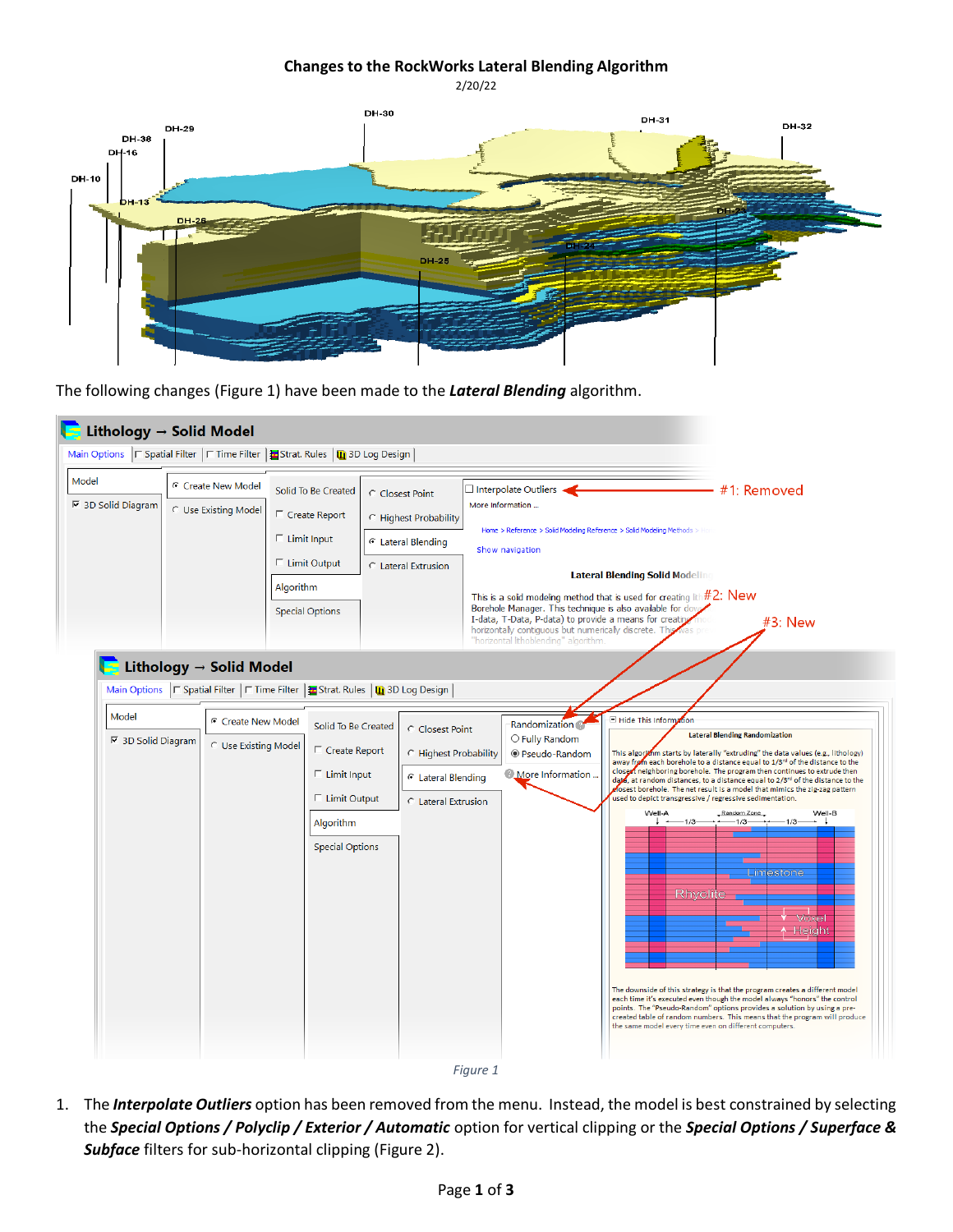## **Changes to the RockWorks Lateral Blending Algorithm** 2/20/22



*Figure 1*

<span id="page-0-0"></span>1. The *Interpolate Outliers* option has been removed from the menu. Instead, the model is best constrained by selecting the *Special Options / Polyclip / Exterior / Automatic* option for vertical clipping or the *Special Options / Superface & Subface* filters for sub-horizontal clipping [\(Figure 2\)](#page-1-0).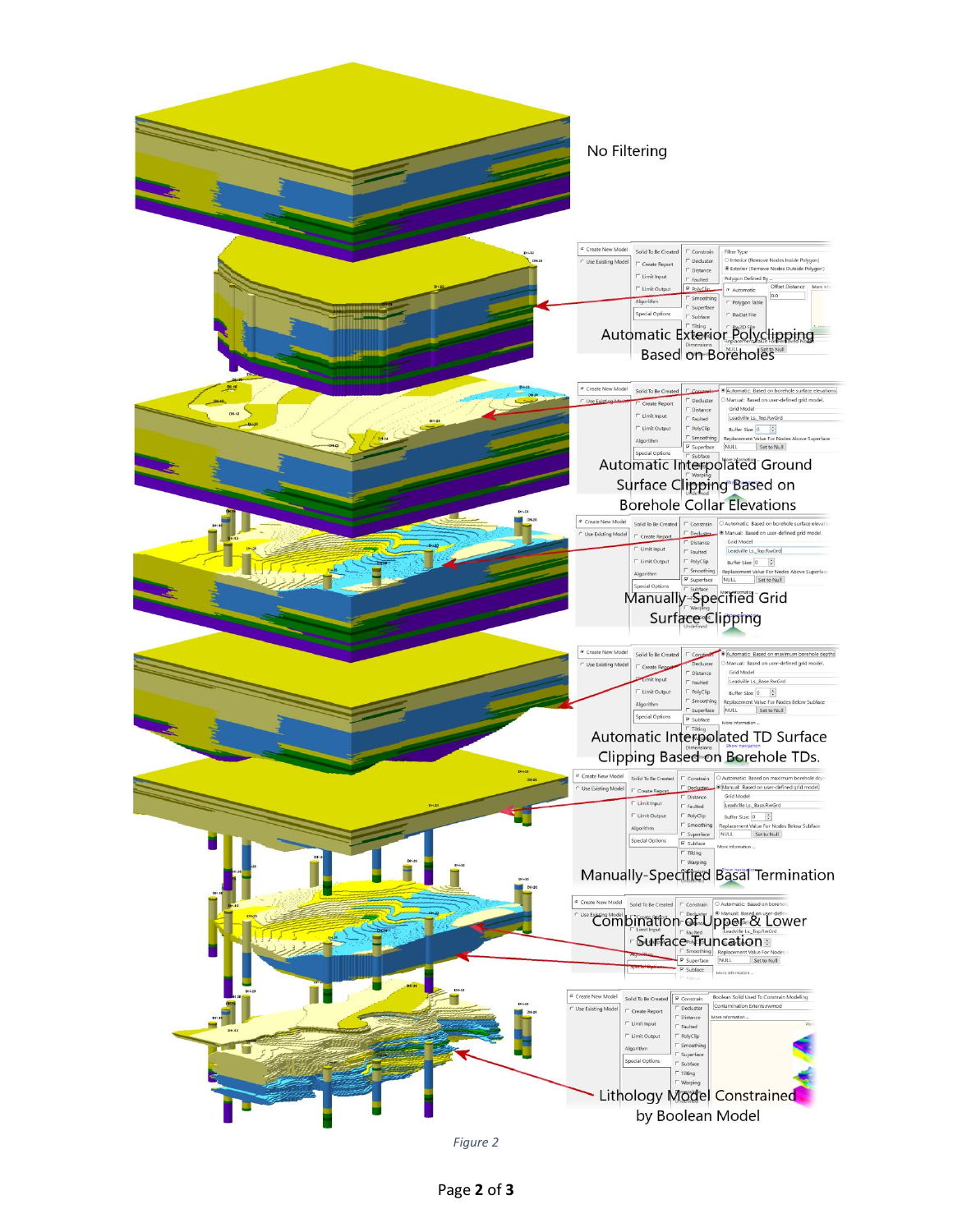

<span id="page-1-0"></span>*Figure 2*